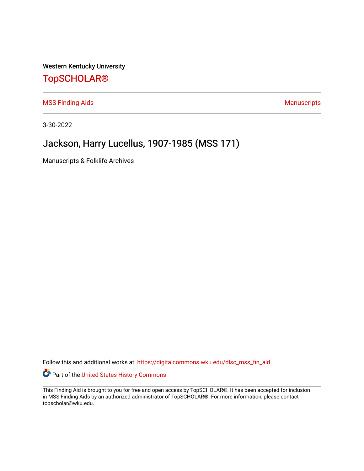Western Kentucky University

## [TopSCHOLAR®](https://digitalcommons.wku.edu/)

[MSS Finding Aids](https://digitalcommons.wku.edu/dlsc_mss_fin_aid) **MSS** Finding Aids **Manuscripts** Manuscripts

3-30-2022

# Jackson, Harry Lucellus, 1907-1985 (MSS 171)

Manuscripts & Folklife Archives

Follow this and additional works at: [https://digitalcommons.wku.edu/dlsc\\_mss\\_fin\\_aid](https://digitalcommons.wku.edu/dlsc_mss_fin_aid?utm_source=digitalcommons.wku.edu%2Fdlsc_mss_fin_aid%2F4997&utm_medium=PDF&utm_campaign=PDFCoverPages) 

Part of the [United States History Commons](http://network.bepress.com/hgg/discipline/495?utm_source=digitalcommons.wku.edu%2Fdlsc_mss_fin_aid%2F4997&utm_medium=PDF&utm_campaign=PDFCoverPages) 

This Finding Aid is brought to you for free and open access by TopSCHOLAR®. It has been accepted for inclusion in MSS Finding Aids by an authorized administrator of TopSCHOLAR®. For more information, please contact topscholar@wku.edu.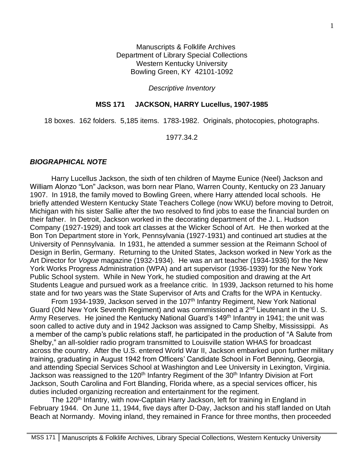Manuscripts & Folklife Archives Department of Library Special Collections Western Kentucky University Bowling Green, KY 42101-1092

*Descriptive Inventory*

#### **MSS 171 JACKSON, HARRY Lucellus, 1907-1985**

18 boxes. 162 folders. 5,185 items. 1783-1982. Originals, photocopies, photographs.

1977.34.2

#### *BIOGRAPHICAL NOTE*

Harry Lucellus Jackson, the sixth of ten children of Mayme Eunice (Neel) Jackson and William Alonzo "Lon" Jackson, was born near Plano, Warren County, Kentucky on 23 January 1907. In 1918, the family moved to Bowling Green, where Harry attended local schools. He briefly attended Western Kentucky State Teachers College (now WKU) before moving to Detroit, Michigan with his sister Sallie after the two resolved to find jobs to ease the financial burden on their father. In Detroit, Jackson worked in the decorating department of the J. L. Hudson Company (1927-1929) and took art classes at the Wicker School of Art. He then worked at the Bon Ton Department store in York, Pennsylvania (1927-1931) and continued art studies at the University of Pennsylvania. In 1931, he attended a summer session at the Reimann School of Design in Berlin, Germany. Returning to the United States, Jackson worked in New York as the Art Director for *Vogue* magazine (1932-1934). He was an art teacher (1934-1936) for the New York Works Progress Administration (WPA) and art supervisor (1936-1939) for the New York Public School system. While in New York, he studied composition and drawing at the Art Students League and pursued work as a freelance critic. In 1939, Jackson returned to his home state and for two years was the State Supervisor of Arts and Crafts for the WPA in Kentucky.

From 1934-1939, Jackson served in the 107<sup>th</sup> Infantry Regiment, New York National Guard (Old New York Seventh Regiment) and was commissioned a 2<sup>nd</sup> Lieutenant in the U.S. Army Reserves. He joined the Kentucky National Guard's 149<sup>th</sup> Infantry in 1941; the unit was soon called to active duty and in 1942 Jackson was assigned to Camp Shelby, Mississippi. As a member of the camp's public relations staff, he participated in the production of "A Salute from Shelby," an all-soldier radio program transmitted to Louisville station WHAS for broadcast across the country. After the U.S. entered World War II, Jackson embarked upon further military training, graduating in August 1942 from Officers' Candidate School in Fort Benning, Georgia, and attending Special Services School at Washington and Lee University in Lexington, Virginia. Jackson was reassigned to the 120<sup>th</sup> Infantry Regiment of the 30<sup>th</sup> Infantry Division at Fort Jackson, South Carolina and Fort Blanding, Florida where, as a special services officer, his duties included organizing recreation and entertainment for the regiment.

The 120<sup>th</sup> Infantry, with now-Captain Harry Jackson, left for training in England in February 1944. On June 11, 1944, five days after D-Day, Jackson and his staff landed on Utah Beach at Normandy. Moving inland, they remained in France for three months, then proceeded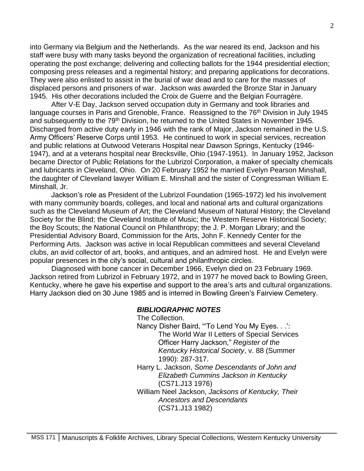into Germany via Belgium and the Netherlands. As the war neared its end, Jackson and his staff were busy with many tasks beyond the organization of recreational facilities, including operating the post exchange; delivering and collecting ballots for the 1944 presidential election; composing press releases and a regimental history; and preparing applications for decorations. They were also enlisted to assist in the burial of war dead and to care for the masses of displaced persons and prisoners of war. Jackson was awarded the Bronze Star in January 1945. His other decorations included the Croix de Guerre and the Belgian Fourragère.

After V-E Day, Jackson served occupation duty in Germany and took libraries and language courses in Paris and Grenoble, France. Reassigned to the 76<sup>th</sup> Division in July 1945 and subsequently to the 79<sup>th</sup> Division, he returned to the United States in November 1945. Discharged from active duty early in 1946 with the rank of Major, Jackson remained in the U.S. Army Officers' Reserve Corps until 1953. He continued to work in special services, recreation and public relations at Outwood Veterans Hospital near Dawson Springs, Kentucky (1946- 1947), and at a veterans hospital near Brecksville, Ohio (1947-1951). In January 1952, Jackson became Director of Public Relations for the Lubrizol Corporation, a maker of specialty chemicals and lubricants in Cleveland, Ohio. On 20 February 1952 he married Evelyn Pearson Minshall, the daughter of Cleveland lawyer William E. Minshall and the sister of Congressman William E. Minshall, Jr.

Jackson's role as President of the Lubrizol Foundation (1965-1972) led his involvement with many community boards, colleges, and local and national arts and cultural organizations such as the Cleveland Museum of Art; the Cleveland Museum of Natural History; the Cleveland Society for the Blind; the Cleveland Institute of Music; the Western Reserve Historical Society; the Boy Scouts; the National Council on Philanthropy; the J. P. Morgan Library; and the Presidential Advisory Board, Commission for the Arts, John F. Kennedy Center for the Performing Arts. Jackson was active in local Republican committees and several Cleveland clubs, an avid collector of art, books, and antiques, and an admired host. He and Evelyn were popular presences in the city's social, cultural and philanthropic circles.

Diagnosed with bone cancer in December 1966, Evelyn died on 23 February 1969. Jackson retired from Lubrizol in February 1972, and in 1977 he moved back to Bowling Green, Kentucky, where he gave his expertise and support to the area's arts and cultural organizations. Harry Jackson died on 30 June 1985 and is interred in Bowling Green's Fairview Cemetery.

#### *BIBLIOGRAPHIC NOTES*

The Collection.

Nancy Disher Baird, "'To Lend You My Eyes. . .': The World War II Letters of Special Services Officer Harry Jackson," *Register of the Kentucky Historical Society*, v. 88 (Summer 1990): 287-317.

Harry L. Jackson, *Some Descendants of John and Elizabeth Cummins Jackson in Kentucky* (CS71.J13 1976)

William Neel Jackson, *Jacksons of Kentucky, Their Ancestors and Descendants*  (CS71.J13 1982)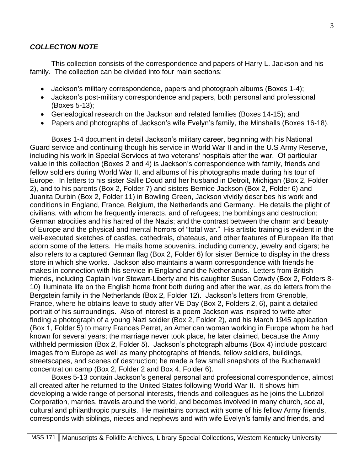### *COLLECTION NOTE*

This collection consists of the correspondence and papers of Harry L. Jackson and his family. The collection can be divided into four main sections:

- Jackson's military correspondence, papers and photograph albums (Boxes 1-4);
- Jackson's post-military correspondence and papers, both personal and professional (Boxes 5-13);
- Genealogical research on the Jackson and related families (Boxes 14-15); and
- Papers and photographs of Jackson's wife Evelyn's family, the Minshalls (Boxes 16-18).

Boxes 1-4 document in detail Jackson's military career, beginning with his National Guard service and continuing though his service in World War II and in the U.S Army Reserve, including his work in Special Services at two veterans' hospitals after the war. Of particular value in this collection (Boxes 2 and 4) is Jackson's correspondence with family, friends and fellow soldiers during World War II, and albums of his photographs made during his tour of Europe. In letters to his sister Sallie Doud and her husband in Detroit, Michigan (Box 2, Folder 2), and to his parents (Box 2, Folder 7) and sisters Bernice Jackson (Box 2, Folder 6) and Juanita Durbin (Box 2, Folder 11) in Bowling Green, Jackson vividly describes his work and conditions in England, France, Belgium, the Netherlands and Germany. He details the plight of civilians, with whom he frequently interacts, and of refugees; the bombings and destruction; German atrocities and his hatred of the Nazis; and the contrast between the charm and beauty of Europe and the physical and mental horrors of "total war." His artistic training is evident in the well-executed sketches of castles, cathedrals, chateaus, and other features of European life that adorn some of the letters. He mails home souvenirs, including currency, jewelry and cigars; he also refers to a captured German flag (Box 2, Folder 6) for sister Bernice to display in the dress store in which she works. Jackson also maintains a warm correspondence with friends he makes in connection with his service in England and the Netherlands. Letters from British friends, including Captain Ivor Stewart-Liberty and his daughter Susan Cowdy (Box 2, Folders 8- 10) illuminate life on the English home front both during and after the war, as do letters from the Bergstein family in the Netherlands (Box 2, Folder 12). Jackson's letters from Grenoble, France, where he obtains leave to study after VE Day (Box 2, Folders 2, 6), paint a detailed portrait of his surroundings. Also of interest is a poem Jackson was inspired to write after finding a photograph of a young Nazi soldier (Box 2, Folder 2), and his March 1945 application (Box 1, Folder 5) to marry Frances Perret, an American woman working in Europe whom he had known for several years; the marriage never took place, he later claimed, because the Army withheld permission (Box 2, Folder 5). Jackson's photograph albums (Box 4) include postcard images from Europe as well as many photographs of friends, fellow soldiers, buildings, streetscapes, and scenes of destruction; he made a few small snapshots of the Buchenwald concentration camp (Box 2, Folder 2 and Box 4, Folder 6).

Boxes 5-13 contain Jackson's general personal and professional correspondence, almost all created after he returned to the United States following World War II. It shows him developing a wide range of personal interests, friends and colleagues as he joins the Lubrizol Corporation, marries, travels around the world, and becomes involved in many church, social, cultural and philanthropic pursuits. He maintains contact with some of his fellow Army friends, corresponds with siblings, nieces and nephews and with wife Evelyn's family and friends, and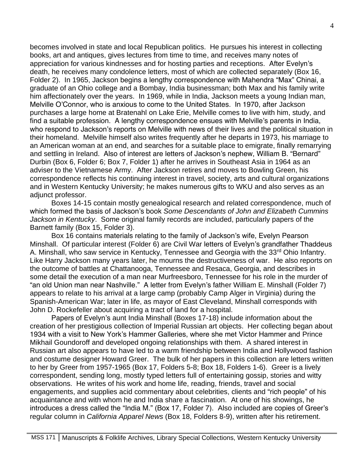becomes involved in state and local Republican politics. He pursues his interest in collecting books, art and antiques, gives lectures from time to time, and receives many notes of appreciation for various kindnesses and for hosting parties and receptions. After Evelyn's death, he receives many condolence letters, most of which are collected separately (Box 16, Folder 2). In 1965, Jackson begins a lengthy correspondence with Mahendra "Max" Chinai, a graduate of an Ohio college and a Bombay, India businessman; both Max and his family write him affectionately over the years. In 1969, while in India, Jackson meets a young Indian man, Melville O'Connor, who is anxious to come to the United States. In 1970, after Jackson purchases a large home at Bratenahl on Lake Erie, Melville comes to live with him, study, and find a suitable profession. A lengthy correspondence ensues with Melville's parents in India, who respond to Jackson's reports on Melville with news of their lives and the political situation in their homeland. Melville himself also writes frequently after he departs in 1973, his marriage to an American woman at an end, and searches for a suitable place to emigrate, finally remarrying and settling in Ireland. Also of interest are letters of Jackson's nephew, William B. "Bernard" Durbin (Box 6, Folder 6; Box 7, Folder 1) after he arrives in Southeast Asia in 1964 as an adviser to the Vietnamese Army. After Jackson retires and moves to Bowling Green, his correspondence reflects his continuing interest in travel, society, arts and cultural organizations and in Western Kentucky University; he makes numerous gifts to WKU and also serves as an adjunct professor.

Boxes 14-15 contain mostly genealogical research and related correspondence, much of which formed the basis of Jackson's book *Some Descendants of John and Elizabeth Cummins Jackson in Kentucky*. Some original family records are included, particularly papers of the Barnett family (Box 15, Folder 3).

Box 16 contains materials relating to the family of Jackson's wife, Evelyn Pearson Minshall. Of particular interest (Folder 6) are Civil War letters of Evelyn's grandfather Thaddeus A. Minshall, who saw service in Kentucky, Tennessee and Georgia with the 33<sup>rd</sup> Ohio Infantry. Like Harry Jackson many years later, he mourns the destructiveness of war. He also reports on the outcome of battles at Chattanooga, Tennessee and Resaca, Georgia, and describes in some detail the execution of a man near Murfreesboro, Tennessee for his role in the murder of "an old Union man near Nashville." A letter from Evelyn's father William E. Minshall (Folder 7) appears to relate to his arrival at a large camp (probably Camp Alger in Virginia) during the Spanish-American War; later in life, as mayor of East Cleveland, Minshall corresponds with John D. Rockefeller about acquiring a tract of land for a hospital.

Papers of Evelyn's aunt India Minshall (Boxes 17-18) include information about the creation of her prestigious collection of Imperial Russian art objects. Her collecting began about 1934 with a visit to New York's Hammer Galleries, where she met Victor Hammer and Prince Mikhail Goundoroff and developed ongoing relationships with them. A shared interest in Russian art also appears to have led to a warm friendship between India and Hollywood fashion and costume designer Howard Greer. The bulk of her papers in this collection are letters written to her by Greer from 1957-1965 (Box 17, Folders 5-8; Box 18, Folders 1-6). Greer is a lively correspondent, sending long, mostly typed letters full of entertaining gossip, stories and witty observations. He writes of his work and home life, reading, friends, travel and social engagements, and supplies acid commentary about celebrities, clients and "rich people" of his acquaintance and with whom he and India share a fascination. At one of his showings, he introduces a dress called the "India M." (Box 17, Folder 7). Also included are copies of Greer's regular column in *California Apparel News* (Box 18, Folders 8-9), written after his retirement.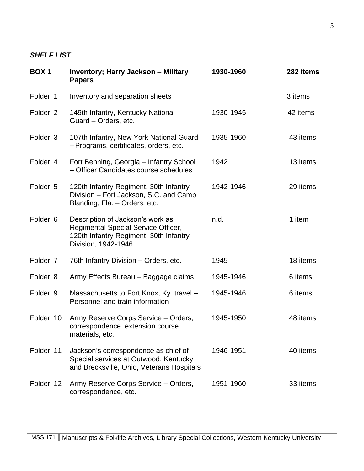## *SHELF LIST*

| <b>BOX1</b>         | <b>Inventory; Harry Jackson - Military</b><br><b>Papers</b>                                                                              | 1930-1960 | 282 items |
|---------------------|------------------------------------------------------------------------------------------------------------------------------------------|-----------|-----------|
| Folder 1            | Inventory and separation sheets                                                                                                          |           | 3 items   |
| Folder <sub>2</sub> | 149th Infantry, Kentucky National<br>Guard - Orders, etc.                                                                                | 1930-1945 | 42 items  |
| Folder 3            | 107th Infantry, New York National Guard<br>- Programs, certificates, orders, etc.                                                        | 1935-1960 | 43 items  |
| Folder 4            | Fort Benning, Georgia - Infantry School<br>- Officer Candidates course schedules                                                         | 1942      | 13 items  |
| Folder 5            | 120th Infantry Regiment, 30th Infantry<br>Division - Fort Jackson, S.C. and Camp<br>Blanding, Fla. - Orders, etc.                        | 1942-1946 | 29 items  |
| Folder <sub>6</sub> | Description of Jackson's work as<br>Regimental Special Service Officer,<br>120th Infantry Regiment, 30th Infantry<br>Division, 1942-1946 | n.d.      | 1 item    |
| Folder 7            | 76th Infantry Division - Orders, etc.                                                                                                    | 1945      | 18 items  |
| Folder 8            | Army Effects Bureau - Baggage claims                                                                                                     | 1945-1946 | 6 items   |
| Folder 9            | Massachusetts to Fort Knox, Ky. travel -<br>Personnel and train information                                                              | 1945-1946 | 6 items   |
| Folder 10           | Army Reserve Corps Service - Orders,<br>correspondence, extension course<br>materials, etc.                                              | 1945-1950 | 48 items  |
| Folder 11           | Jackson's correspondence as chief of<br>Special services at Outwood, Kentucky<br>and Brecksville, Ohio, Veterans Hospitals               | 1946-1951 | 40 items  |
| Folder 12           | Army Reserve Corps Service - Orders,<br>correspondence, etc.                                                                             | 1951-1960 | 33 items  |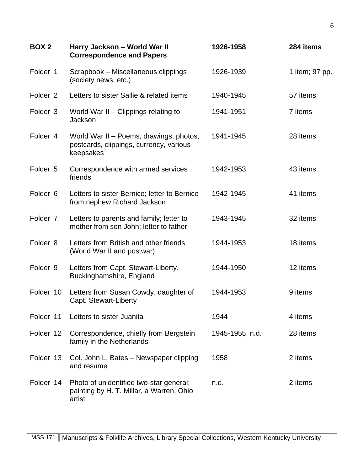| <b>BOX 2</b>        | Harry Jackson - World War II<br><b>Correspondence and Papers</b>                                | 1926-1958       | 284 items      |
|---------------------|-------------------------------------------------------------------------------------------------|-----------------|----------------|
| Folder 1            | Scrapbook – Miscellaneous clippings<br>(society news, etc.)                                     | 1926-1939       | 1 item; 97 pp. |
| Folder <sub>2</sub> | Letters to sister Sallie & related items                                                        | 1940-1945       | 57 items       |
| Folder <sub>3</sub> | World War II - Clippings relating to<br>Jackson                                                 | 1941-1951       | 7 items        |
| Folder 4            | World War II - Poems, drawings, photos,<br>postcards, clippings, currency, various<br>keepsakes | 1941-1945       | 28 items       |
| Folder 5            | Correspondence with armed services<br>friends                                                   | 1942-1953       | 43 items       |
| Folder <sub>6</sub> | Letters to sister Bernice; letter to Bernice<br>from nephew Richard Jackson                     | 1942-1945       | 41 items       |
| Folder <sub>7</sub> | Letters to parents and family; letter to<br>mother from son John; letter to father              | 1943-1945       | 32 items       |
| Folder 8            | Letters from British and other friends<br>(World War II and postwar)                            | 1944-1953       | 18 items       |
| Folder 9            | Letters from Capt. Stewart-Liberty,<br>Buckinghamshire, England                                 | 1944-1950       | 12 items       |
| Folder 10           | Letters from Susan Cowdy, daughter of<br>Capt. Stewart-Liberty                                  | 1944-1953       | 9 items        |
| Folder 11           | Letters to sister Juanita                                                                       | 1944            | 4 items        |
| Folder 12           | Correspondence, chiefly from Bergstein<br>family in the Netherlands                             | 1945-1955, n.d. | 28 items       |
| Folder 13           | Col. John L. Bates - Newspaper clipping<br>and resume                                           | 1958            | 2 items        |
| Folder 14           | Photo of unidentified two-star general;<br>painting by H. T. Millar, a Warren, Ohio<br>artist   | n.d.            | 2 items        |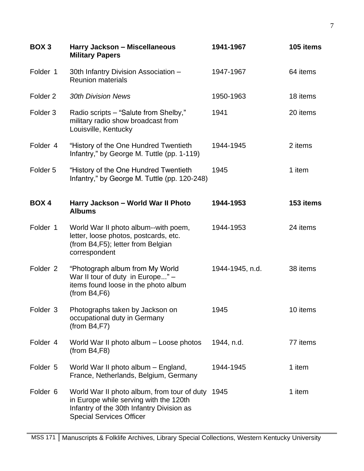| BOX <sub>3</sub>    | Harry Jackson - Miscellaneous<br><b>Military Papers</b>                                                                                                               | 1941-1967       | 105 items |
|---------------------|-----------------------------------------------------------------------------------------------------------------------------------------------------------------------|-----------------|-----------|
| Folder 1            | 30th Infantry Division Association -<br><b>Reunion materials</b>                                                                                                      | 1947-1967       | 64 items  |
| Folder <sub>2</sub> | <b>30th Division News</b>                                                                                                                                             | 1950-1963       | 18 items  |
| Folder <sub>3</sub> | Radio scripts – "Salute from Shelby,"<br>military radio show broadcast from<br>Louisville, Kentucky                                                                   | 1941            | 20 items  |
| Folder 4            | "History of the One Hundred Twentieth<br>Infantry," by George M. Tuttle (pp. 1-119)                                                                                   | 1944-1945       | 2 items   |
| Folder <sub>5</sub> | "History of the One Hundred Twentieth<br>Infantry," by George M. Tuttle (pp. 120-248)                                                                                 | 1945            | 1 item    |
| BOX 4               | Harry Jackson - World War II Photo<br><b>Albums</b>                                                                                                                   | 1944-1953       | 153 items |
| Folder 1            | World War II photo album--with poem,<br>letter, loose photos, postcards, etc.<br>(from B4, F5); letter from Belgian<br>correspondent                                  | 1944-1953       | 24 items  |
| Folder <sub>2</sub> | "Photograph album from My World<br>War II tour of duty in Europe" -<br>items found loose in the photo album<br>(from B4, F6)                                          | 1944-1945, n.d. | 38 items  |
| Folder 3            | Photographs taken by Jackson on<br>occupational duty in Germany<br>(from B4, F7)                                                                                      | 1945            | 10 items  |
| Folder 4            | World War II photo album - Loose photos<br>(from B4, F8)                                                                                                              | 1944, n.d.      | 77 items  |
| Folder 5            | World War II photo album - England,<br>France, Netherlands, Belgium, Germany                                                                                          | 1944-1945       | 1 item    |
| Folder <sub>6</sub> | World War II photo album, from tour of duty<br>in Europe while serving with the 120th<br>Infantry of the 30th Infantry Division as<br><b>Special Services Officer</b> | 1945            | 1 item    |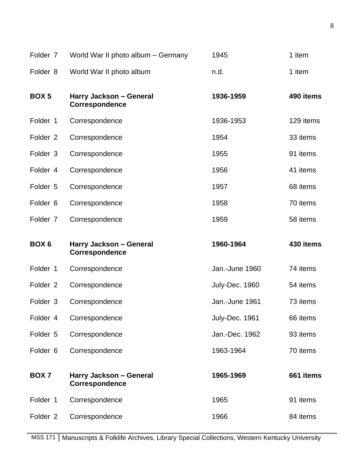| Folder 7            | World War II photo album - Germany               | 1945           | 1 item    |
|---------------------|--------------------------------------------------|----------------|-----------|
| Folder 8            | World War II photo album                         | n.d.           | 1 item    |
| BOX <sub>5</sub>    | Harry Jackson - General<br><b>Correspondence</b> | 1936-1959      | 490 items |
| Folder 1            | Correspondence                                   | 1936-1953      | 129 items |
| Folder <sub>2</sub> | Correspondence                                   | 1954           | 33 items  |
| Folder 3            | Correspondence                                   | 1955           | 91 items  |
| Folder 4            | Correspondence                                   | 1956           | 41 items  |
| Folder 5            | Correspondence                                   | 1957           | 68 items  |
| Folder <sub>6</sub> | Correspondence                                   | 1958           | 70 items  |
| Folder <sub>7</sub> | Correspondence                                   | 1959           | 58 items  |
|                     |                                                  |                |           |
| BOX <sub>6</sub>    | Harry Jackson - General<br>Correspondence        | 1960-1964      | 430 items |
| Folder 1            | Correspondence                                   | Jan.-June 1960 | 74 items  |
| Folder <sub>2</sub> | Correspondence                                   | July-Dec. 1960 | 54 items  |
| Folder 3            | Correspondence                                   | Jan.-June 1961 | 73 items  |
| Folder 4            | Correspondence                                   | July-Dec. 1961 | 66 items  |
| Folder 5            | Correspondence                                   | Jan.-Dec. 1962 | 93 items  |
| Folder <sub>6</sub> | Correspondence                                   | 1963-1964      | 70 items  |
| <b>BOX7</b>         | Harry Jackson - General<br><b>Correspondence</b> | 1965-1969      | 661 items |
| Folder 1            | Correspondence                                   | 1965           | 91 items  |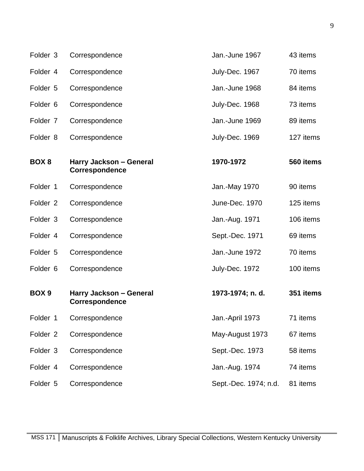| Folder 3            | Correspondence                            | Jan.-June 1967        | 43 items  |
|---------------------|-------------------------------------------|-----------------------|-----------|
| Folder 4            | Correspondence                            | July-Dec. 1967        | 70 items  |
| Folder 5            | Correspondence                            | Jan.-June 1968        | 84 items  |
| Folder 6            | Correspondence                            | July-Dec. 1968        | 73 items  |
| Folder 7            | Correspondence                            | Jan.-June 1969        | 89 items  |
| Folder 8            | Correspondence                            | July-Dec. 1969        | 127 items |
| BOX <sub>8</sub>    | Harry Jackson - General<br>Correspondence | 1970-1972             | 560 items |
| Folder 1            | Correspondence                            | Jan.-May 1970         | 90 items  |
| Folder <sub>2</sub> | Correspondence                            | June-Dec. 1970        | 125 items |
| Folder 3            | Correspondence                            | Jan.-Aug. 1971        | 106 items |
| Folder 4            | Correspondence                            | Sept.-Dec. 1971       | 69 items  |
| Folder 5            | Correspondence                            | Jan.-June 1972        | 70 items  |
| Folder <sub>6</sub> | Correspondence                            | July-Dec. 1972        | 100 items |
| BOX <sub>9</sub>    | Harry Jackson - General<br>Correspondence | 1973-1974; n. d.      | 351 items |
| Folder 1            | Correspondence                            | Jan.-April 1973       | 71 items  |
| Folder <sub>2</sub> | Correspondence                            | May-August 1973       | 67 items  |
| Folder 3            | Correspondence                            | Sept.-Dec. 1973       | 58 items  |
| Folder 4            | Correspondence                            | Jan.-Aug. 1974        | 74 items  |
| Folder 5            | Correspondence                            | Sept.-Dec. 1974; n.d. | 81 items  |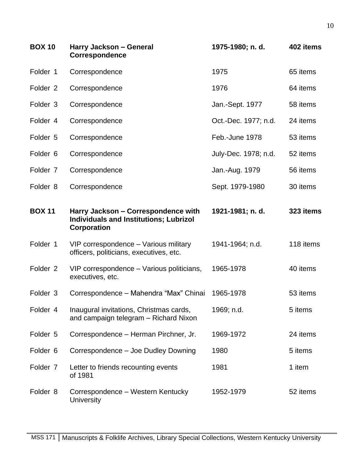| <b>BOX 10</b>       | Harry Jackson - General<br>Correspondence                                                           | 1975-1980; n. d.     | 402 items |
|---------------------|-----------------------------------------------------------------------------------------------------|----------------------|-----------|
| Folder 1            | Correspondence                                                                                      | 1975                 | 65 items  |
| Folder <sub>2</sub> | Correspondence                                                                                      | 1976                 | 64 items  |
| Folder 3            | Correspondence                                                                                      | Jan.-Sept. 1977      | 58 items  |
| Folder 4            | Correspondence                                                                                      | Oct.-Dec. 1977; n.d. | 24 items  |
| Folder 5            | Correspondence                                                                                      | Feb.-June 1978       | 53 items  |
| Folder <sub>6</sub> | Correspondence                                                                                      | July-Dec. 1978; n.d. | 52 items  |
| Folder 7            | Correspondence                                                                                      | Jan.-Aug. 1979       | 56 items  |
| Folder 8            | Correspondence                                                                                      | Sept. 1979-1980      | 30 items  |
| <b>BOX 11</b>       | Harry Jackson - Correspondence with<br><b>Individuals and Institutions; Lubrizol</b><br>Corporation | 1921-1981; n. d.     | 323 items |
| Folder 1            | VIP correspondence - Various military<br>officers, politicians, executives, etc.                    | 1941-1964; n.d.      | 118 items |
| Folder <sub>2</sub> | VIP correspondence – Various politicians,<br>executives, etc.                                       | 1965-1978            | 40 items  |
| Folder 3            | Correspondence - Mahendra "Max" Chinai                                                              | 1965-1978            | 53 items  |
| Folder 4            | Inaugural invitations, Christmas cards,<br>and campaign telegram - Richard Nixon                    | 1969; n.d.           | 5 items   |
| Folder 5            | Correspondence - Herman Pirchner, Jr.                                                               | 1969-1972            | 24 items  |
| Folder <sub>6</sub> | Correspondence - Joe Dudley Downing                                                                 | 1980                 | 5 items   |
| Folder 7            | Letter to friends recounting events<br>of 1981                                                      | 1981                 | 1 item    |
| Folder 8            | Correspondence – Western Kentucky<br><b>University</b>                                              | 1952-1979            | 52 items  |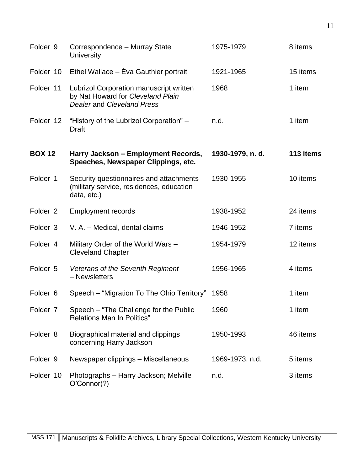| Folder 9            | Correspondence - Murray State<br>University                                                                       | 1975-1979        | 8 items   |
|---------------------|-------------------------------------------------------------------------------------------------------------------|------------------|-----------|
| Folder 10           | Ethel Wallace - Éva Gauthier portrait                                                                             | 1921-1965        | 15 items  |
| Folder 11           | Lubrizol Corporation manuscript written<br>by Nat Howard for Cleveland Plain<br><b>Dealer and Cleveland Press</b> | 1968             | 1 item    |
| Folder 12           | "History of the Lubrizol Corporation" -<br>Draft                                                                  | n.d.             | 1 item    |
| <b>BOX 12</b>       | Harry Jackson - Employment Records,<br>Speeches, Newspaper Clippings, etc.                                        | 1930-1979, n. d. | 113 items |
| Folder 1            | Security questionnaires and attachments<br>(military service, residences, education<br>data, etc.)                | 1930-1955        | 10 items  |
| Folder <sub>2</sub> | <b>Employment records</b>                                                                                         | 1938-1952        | 24 items  |
| Folder 3            | V. A. - Medical, dental claims                                                                                    | 1946-1952        | 7 items   |
| Folder 4            | Military Order of the World Wars -<br><b>Cleveland Chapter</b>                                                    | 1954-1979        | 12 items  |
| Folder 5            | Veterans of the Seventh Regiment<br>- Newsletters                                                                 | 1956-1965        | 4 items   |
| Folder <sub>6</sub> | Speech - "Migration To The Ohio Territory" 1958                                                                   |                  | 1 item    |
| Folder 7            | Speech - "The Challenge for the Public<br><b>Relations Man In Politics"</b>                                       | 1960             | 1 item    |
| Folder <sub>8</sub> | Biographical material and clippings<br>concerning Harry Jackson                                                   | 1950-1993        | 46 items  |
| Folder 9            | Newspaper clippings - Miscellaneous                                                                               | 1969-1973, n.d.  | 5 items   |
| Folder 10           | Photographs - Harry Jackson; Melville<br>O'Connor(?)                                                              | n.d.             | 3 items   |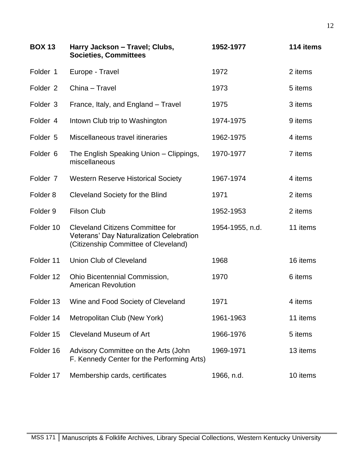| <b>BOX 13</b>       | Harry Jackson - Travel; Clubs,<br><b>Societies, Committees</b>                                                              | 1952-1977       | 114 items |
|---------------------|-----------------------------------------------------------------------------------------------------------------------------|-----------------|-----------|
| Folder 1            | Europe - Travel                                                                                                             | 1972            | 2 items   |
| Folder <sub>2</sub> | China - Travel                                                                                                              | 1973            | 5 items   |
| Folder 3            | France, Italy, and England - Travel                                                                                         | 1975            | 3 items   |
| Folder 4            | Intown Club trip to Washington                                                                                              | 1974-1975       | 9 items   |
| Folder 5            | Miscellaneous travel itineraries                                                                                            | 1962-1975       | 4 items   |
| Folder 6            | The English Speaking Union - Clippings,<br>miscellaneous                                                                    | 1970-1977       | 7 items   |
| Folder 7            | <b>Western Reserve Historical Society</b>                                                                                   | 1967-1974       | 4 items   |
| Folder <sub>8</sub> | Cleveland Society for the Blind                                                                                             | 1971            | 2 items   |
| Folder <sub>9</sub> | <b>Filson Club</b>                                                                                                          | 1952-1953       | 2 items   |
| Folder 10           | <b>Cleveland Citizens Committee for</b><br>Veterans' Day Naturalization Celebration<br>(Citizenship Committee of Cleveland) | 1954-1955, n.d. | 11 items  |
| Folder 11           | Union Club of Cleveland                                                                                                     | 1968            | 16 items  |
| Folder 12           | Ohio Bicentennial Commission,<br><b>American Revolution</b>                                                                 | 1970            | 6 items   |
| Folder 13           | Wine and Food Society of Cleveland                                                                                          | 1971            | 4 items   |
| Folder 14           | Metropolitan Club (New York)                                                                                                | 1961-1963       | 11 items  |
| Folder 15           | <b>Cleveland Museum of Art</b>                                                                                              | 1966-1976       | 5 items   |
| Folder 16           | Advisory Committee on the Arts (John<br>F. Kennedy Center for the Performing Arts)                                          | 1969-1971       | 13 items  |
| Folder 17           | Membership cards, certificates                                                                                              | 1966, n.d.      | 10 items  |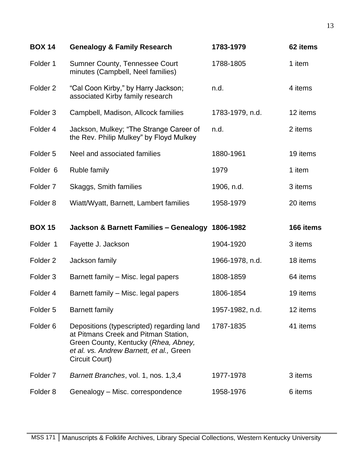| <b>BOX 14</b>       | <b>Genealogy &amp; Family Research</b>                                                                                                                                                  | 1783-1979       | 62 items  |
|---------------------|-----------------------------------------------------------------------------------------------------------------------------------------------------------------------------------------|-----------------|-----------|
| Folder 1            | <b>Sumner County, Tennessee Court</b><br>minutes (Campbell, Neel families)                                                                                                              | 1788-1805       | 1 item    |
| Folder <sub>2</sub> | "Cal Coon Kirby," by Harry Jackson;<br>associated Kirby family research                                                                                                                 | n.d.            | 4 items   |
| Folder <sub>3</sub> | Campbell, Madison, Allcock families                                                                                                                                                     | 1783-1979, n.d. | 12 items  |
| Folder 4            | Jackson, Mulkey; "The Strange Career of<br>the Rev. Philip Mulkey" by Floyd Mulkey                                                                                                      | n.d.            | 2 items   |
| Folder <sub>5</sub> | Neel and associated families                                                                                                                                                            | 1880-1961       | 19 items  |
| Folder <sub>6</sub> | <b>Ruble family</b>                                                                                                                                                                     | 1979            | 1 item    |
| Folder <sub>7</sub> | Skaggs, Smith families                                                                                                                                                                  | 1906, n.d.      | 3 items   |
| Folder <sub>8</sub> | Wiatt/Wyatt, Barnett, Lambert families                                                                                                                                                  | 1958-1979       | 20 items  |
|                     |                                                                                                                                                                                         |                 |           |
| <b>BOX 15</b>       | Jackson & Barnett Families - Genealogy 1806-1982                                                                                                                                        |                 | 166 items |
| Folder 1            | Fayette J. Jackson                                                                                                                                                                      | 1904-1920       | 3 items   |
| Folder <sub>2</sub> | Jackson family                                                                                                                                                                          | 1966-1978, n.d. | 18 items  |
| Folder <sub>3</sub> | Barnett family - Misc. legal papers                                                                                                                                                     | 1808-1859       | 64 items  |
| Folder 4            | Barnett family - Misc. legal papers                                                                                                                                                     | 1806-1854       | 19 items  |
| Folder 5            | <b>Barnett family</b>                                                                                                                                                                   | 1957-1982, n.d. | 12 items  |
| Folder <sub>6</sub> | Depositions (typescripted) regarding land<br>at Pitmans Creek and Pitman Station,<br>Green County, Kentucky (Rhea, Abney,<br>et al. vs. Andrew Barnett, et al., Green<br>Circuit Court) | 1787-1835       | 41 items  |
| Folder <sub>7</sub> | Barnett Branches, vol. 1, nos. 1,3,4                                                                                                                                                    | 1977-1978       | 3 items   |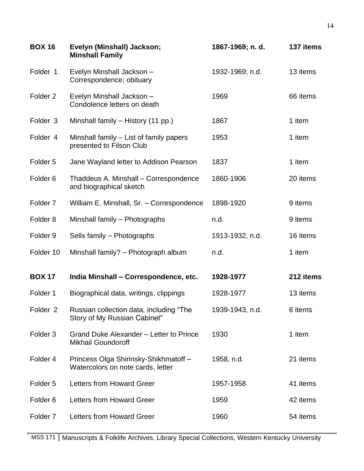| <b>BOX 16</b>       | Evelyn (Minshall) Jackson;<br><b>Minshall Family</b>                      | 1867-1969; n. d. | 137 items |
|---------------------|---------------------------------------------------------------------------|------------------|-----------|
| Folder 1            | Evelyn Minshall Jackson -<br>Correspondence; obituary                     | 1932-1969; n.d.  | 13 items  |
| Folder <sub>2</sub> | Evelyn Minshall Jackson -<br>Condolence letters on death                  | 1969             | 66 items  |
| Folder <sub>3</sub> | Minshall family - History (11 pp.)                                        | 1867             | 1 item    |
| Folder 4            | Minshall family – List of family papers<br>presented to Filson Club       | 1953             | 1 item    |
| Folder <sub>5</sub> | Jane Wayland letter to Addison Pearson                                    | 1837             | 1 item    |
| Folder <sub>6</sub> | Thaddeus A. Minshall - Correspondence<br>and biographical sketch          | 1860-1906        | 20 items  |
| Folder <sub>7</sub> | William E. Minshall, Sr. - Correspondence                                 | 1898-1920        | 9 items   |
| Folder <sub>8</sub> | Minshall family - Photographs                                             | n.d.             | 9 items   |
| Folder <sub>9</sub> | Sells family - Photographs                                                | 1913-1932, n.d.  | 16 items  |
| Folder 10           | Minshall family? - Photograph album                                       | n.d.             | 1 item    |
| <b>BOX 17</b>       | India Minshall - Correspondence, etc.                                     | 1928-1977        | 212 items |
| Folder 1            | Biographical data, writings, clippings                                    | 1928-1977        | 13 items  |
| Folder <sub>2</sub> | Russian collection data, including "The<br>Story of My Russian Cabinet"   | 1939-1943, n.d.  | 6 items   |
| Folder <sub>3</sub> | Grand Duke Alexander – Letter to Prince<br><b>Mikhail Goundoroff</b>      | 1930             | 1 item    |
| Folder 4            | Princess Olga Shirinsky-Shikhmatoff-<br>Watercolors on note cards, letter | 1958, n.d.       | 21 items  |
| Folder <sub>5</sub> | <b>Letters from Howard Greer</b>                                          | 1957-1958        | 41 items  |
| Folder <sub>6</sub> | Letters from Howard Greer                                                 | 1959             | 42 items  |
| Folder <sub>7</sub> | Letters from Howard Greer                                                 | 1960             | 54 items  |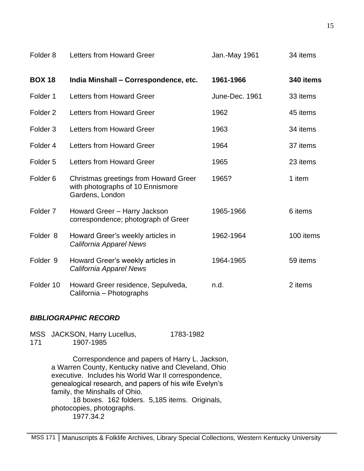| Folder <sub>8</sub> | <b>Letters from Howard Greer</b>                                                             | Jan.-May 1961  | 34 items  |
|---------------------|----------------------------------------------------------------------------------------------|----------------|-----------|
| <b>BOX 18</b>       | India Minshall - Correspondence, etc.                                                        | 1961-1966      | 340 items |
| Folder 1            | Letters from Howard Greer                                                                    | June-Dec. 1961 | 33 items  |
| Folder <sub>2</sub> | <b>Letters from Howard Greer</b>                                                             | 1962           | 45 items  |
| Folder <sub>3</sub> | Letters from Howard Greer                                                                    | 1963           | 34 items  |
| Folder 4            | <b>Letters from Howard Greer</b>                                                             | 1964           | 37 items  |
| Folder <sub>5</sub> | Letters from Howard Greer                                                                    | 1965           | 23 items  |
| Folder <sub>6</sub> | Christmas greetings from Howard Greer<br>with photographs of 10 Ennismore<br>Gardens, London | 1965?          | 1 item    |
| Folder <sub>7</sub> | Howard Greer - Harry Jackson<br>correspondence; photograph of Greer                          | 1965-1966      | 6 items   |
| Folder <sub>8</sub> | Howard Greer's weekly articles in<br>California Apparel News                                 | 1962-1964      | 100 items |
| Folder 9            | Howard Greer's weekly articles in<br>California Apparel News                                 | 1964-1965      | 59 items  |
| Folder 10           | Howard Greer residence, Sepulveda,<br>California - Photographs                               | n.d.           | 2 items   |

## *BIBLIOGRAPHIC RECORD*

MSS JACKSON, Harry Lucellus, 1783-1982 171 1907-1985

> Correspondence and papers of Harry L. Jackson, a Warren County, Kentucky native and Cleveland, Ohio executive. Includes his World War II correspondence, genealogical research, and papers of his wife Evelyn's family, the Minshalls of Ohio. 18 boxes. 162 folders. 5,185 items. Originals, photocopies, photographs. 1977.34.2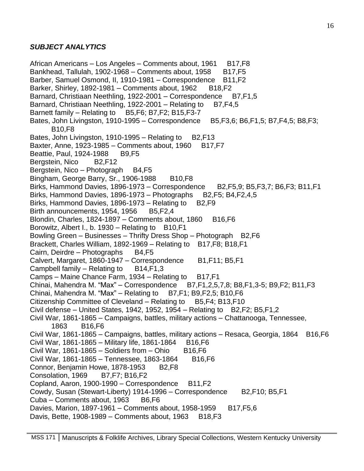### *SUBJECT ANALYTICS*

African Americans – Los Angeles – Comments about, 1961 B17, F8 Bankhead, Tallulah, 1902-1968 – Comments about, 1958  $B17,F5$ Barber, Samuel Osmond, II, 1910-1981 – Correspondence B11, F2 Barker, Shirley, 1892-1981 – Comments about, 1962 B18, F2 Barnard, Christiaan Neethling, 1922-2001 – Correspondence B7, F1, 5 Barnard, Christiaan Neethling, 1922-2001 – Relating to B7, F4, 5 Barnett family – Relating to  $B5,F6$ ; B7, F2; B15, F3-7 Bates, John Livingston, 1910-1995 – Correspondence B5, F3, 6; B6, F1, 5; B7, F4, 5; B8, F3; B10,F8 Bates, John Livingston, 1910-1995 – Relating to  $B2$ , F13 Baxter, Anne, 1923-1985 – Comments about, 1960 B17, F7 Beattie, Paul, 1924-1988 B9, F5 Bergstein, Nico B2, F12 Bergstein, Nico – Photograph B4,F5 Bingham, George Barry, Sr., 1906-1988 B10, F8 Birks, Hammond Davies, 1896-1973 – Correspondence B2,F5,9; B5,F3,7; B6,F3; B11,F1 Birks, Hammond Davies, 1896-1973 – Photographs B2, F5; B4, F2, 4, 5 Birks, Hammond Davies, 1896-1973 – Relating to  $B2$ , F9 Birth announcements, 1954, 1956 B5, F2, 4 Blondin, Charles,  $1824-1897 -$  Comments about,  $1860$  B16, F6 Borowitz, Albert I., b. 1930 – Relating to  $B10,F1$ Bowling Green – Businesses – Thrifty Dress Shop – Photograph B2,F6 Brackett, Charles William, 1892-1969 – Relating to B17, F8; B18, F1 Cairn, Deirdre – Photographs B4,F5 Calvert, Margaret, 1860-1947 – Correspondence B1,F11; B5,F1 Campbell family  $-$  Relating to  $-B14,F1,3$ Camps – Maine Chance Farm,  $1934$  – Relating to B17, F1 Chinai, Mahendra M. "Max" – Correspondence B7,F1,2,5,7,8; B8,F1,3-5; B9,F2; B11,F3 Chinai, Mahendra M. "Max" – Relating to B7, F1; B9, F2, 5; B10, F6 Citizenship Committee of Cleveland – Relating to B5, F4; B13, F10 Civil defense – United States, 1942, 1952, 1954 – Relating to  $B2$ , F2; B5, F1, 2 Civil War, 1861-1865 – Campaigns, battles, military actions – Chattanooga, Tennessee, 1863 B16,F6 Civil War, 1861-1865 – Campaigns, battles, military actions – Resaca, Georgia, 1864 B16, F6 Civil War, 1861-1865 – Military life, 1861-1864 B16,F6 Civil War, 1861-1865 – Soldiers from – Ohio B16, F6 Civil War, 1861-1865 – Tennessee, 1863-1864 B16, F6 Connor, Benjamin Howe, 1878-1953 B2, F8 Consolation, 1969 B7,F7; B16,F2 Copland, Aaron, 1900-1990 – Correspondence B11, F2 Cowdy, Susan (Stewart-Liberty) 1914-1996 – Correspondence B2,F10; B5,F1 Cuba – Comments about, 1963 B6, F6 Davies, Marion, 1897-1961 – Comments about, 1958-1959 B17, F5, 6 Davis, Bette,  $1908-1989 -$  Comments about,  $1963 - B18$ , F3

16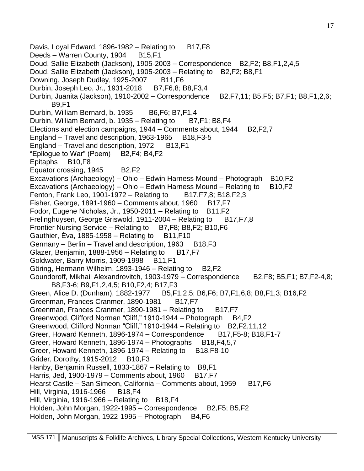Davis, Loyal Edward, 1896-1982 – Relating to  $B17,F8$ Deeds – Warren County, 1904 B15, F1 Doud, Sallie Elizabeth (Jackson), 1905-2003 – Correspondence B2,F2; B8,F1,2,4,5 Doud, Sallie Elizabeth (Jackson), 1905-2003 – Relating to B2, F2; B8, F1 Downing, Joseph Dudley, 1925-2007 B11, F6 Durbin, Joseph Leo, Jr., 1931-2018 B7, F6,8; B8, F3, 4 Durbin, Juanita (Jackson), 1910-2002 – Correspondence B2, F7, 11; B5, F5; B7, F1; B8, F1, 2, 6; B9,F1 Durbin, William Bernard, b. 1935 B6, F6; B7, F1, 4 Durbin, William Bernard, b. 1935 – Relating to  $B7, F1$ ; B8, F4 Elections and election campaigns,  $1944 -$  Comments about,  $1944 - B2$ ,  $F2$ ,  $7$ England – Travel and description, 1963-1965 B18, F3-5 England – Travel and description, 1972 B13,F1 "Epilogue to War" (Poem)  $B2$ , F4; B4, F2 Epitaphs B10,F8 Equator crossing, 1945 B2,F2 Excavations (Archaeology) – Ohio – Edwin Harness Mound – Photograph B10, F2 Excavations (Archaeology) – Ohio – Edwin Harness Mound – Relating to B10, F2 Fenton, Frank Leo, 1901-1972 – Relating to B17, F7, 8; B18, F2, 3 Fisher, George,  $1891-1960$  – Comments about,  $1960$  B17, F7 Fodor, Eugene Nicholas, Jr., 1950-2011 – Relating to B11,F2 Frelinghuysen, George Griswold, 1911-2004 – Relating to B17, F7, 8 Frontier Nursing Service – Relating to B7, F8; B8, F2; B10, F6 Gauthier, Éva, 1885-1958 – Relating to  $B11,F10$ Germany – Berlin – Travel and description, 1963 B18, F3 Glazer, Benjamin, 1888-1956 – Relating to  $B17,F7$ Goldwater, Barry Morris, 1909-1998 B11, F1 Göring, Hermann Wilhelm, 1893-1946 – Relating to  $B2$ , F2 Goundoroff, Mikhail Alexandrovitch, 1903-1979 – Correspondence B2, F8; B5, F1; B7, F2-4, 8; B8,F3-6; B9,F1,2,4,5; B10,F2,4; B17,F3 Green, Alice D. (Dunham), 1882-1977 B5,F1,2,5; B6,F6; B7,F1,6,8; B8,F1,3; B16,F2 Greenman, Frances Cranmer, 1890-1981 B17, F7 Greenman, Frances Cranmer, 1890-1981 – Relating to B17, F7 Greenwood, Clifford Norman "Cliff," 1910-1944 – Photograph B4,F2 Greenwood, Clifford Norman "Cliff," 1910-1944 – Relating to B2, F2, 11, 12 Greer, Howard Kenneth, 1896-1974 – Correspondence B17, F5-8; B18, F1-7 Greer, Howard Kenneth, 1896-1974 – Photographs B18, F4, 5, 7 Greer, Howard Kenneth, 1896-1974 – Relating to  $B18,F8-10$ Grider, Dorothy, 1915-2012 B10, F3 Hanby, Benjamin Russell, 1833-1867 – Relating to B8, F1 Harris, Jed, 1900-1979 – Comments about, 1960 B17, F7 Hearst Castle – San Simeon, California – Comments about, 1959 B17, F6 Hill, Virginia, 1916-1966 B18, F4 Hill, Virginia, 1916-1966 – Relating to  $B18.F4$ Holden, John Morgan, 1922-1995 – Correspondence B2, F5; B5, F2 Holden, John Morgan, 1922-1995 – Photograph B4, F6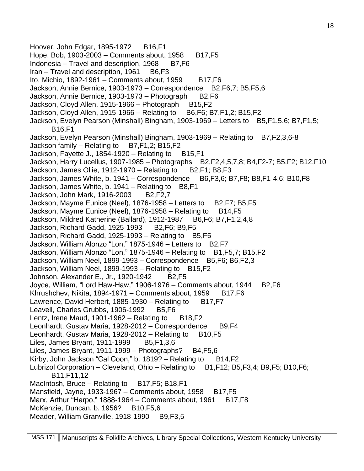Hoover, John Edgar, 1895-1972 B16, F1 Hope, Bob, 1903-2003 – Comments about, 1958 B17, F5 Indonesia – Travel and description,  $1968$  B7.F6 Iran – Travel and description, 1961 B6,F3 Ito, Michio, 1892-1961 – Comments about, 1959  $B17,F6$ Jackson, Annie Bernice, 1903-1973 – Correspondence B2, F6, 7; B5, F5, 6 Jackson, Annie Bernice, 1903-1973 – Photograph B2, F6 Jackson, Cloyd Allen, 1915-1966 – Photograph B15, F2 Jackson, Cloyd Allen, 1915-1966 – Relating to B6,F6; B7,F1,2; B15,F2 Jackson, Evelyn Pearson (Minshall) Bingham, 1903-1969 – Letters to B5, F1, 5, 6; B7, F1, 5; B16,F1 Jackson, Evelyn Pearson (Minshall) Bingham, 1903-1969 – Relating to B7, F2, 3, 6-8 Jackson family – Relating to  $B7,F1,2$ ; B15,F2 Jackson, Fayette J., 1854-1920 – Relating to  $B15,F1$ Jackson, Harry Lucellus, 1907-1985 – Photographs B2,F2,4,5,7,8; B4,F2-7; B5,F2; B12,F10 Jackson, James Ollie, 1912-1970 – Relating to B2, F1; B8, F3 Jackson, James White, b. 1941 – Correspondence B6,F3,6; B7,F8; B8,F1-4,6; B10,F8 Jackson, James White, b. 1941 – Relating to B8, F1 Jackson, John Mark, 1916-2003 B2,F2,7 Jackson, Mayme Eunice (Neel), 1876-1958 – Letters to B2, F7; B5, F5 Jackson, Mayme Eunice (Neel),  $1876-1958$  – Relating to B14, F5 Jackson, Mildred Katherine (Ballard), 1912-1987 B6,F6; B7,F1,2,4,8 Jackson, Richard Gadd, 1925-1993 B2,F6; B9,F5 Jackson, Richard Gadd, 1925-1993 – Relating to  $B5.F5$ Jackson, William Alonzo "Lon," 1875-1946 – Letters to B2,F7 Jackson, William Alonzo "Lon," 1875-1946 – Relating to B1,F5,7; B15,F2 Jackson, William Neel, 1899-1993 – Correspondence B5, F6; B6, F2, 3 Jackson, William Neel, 1899-1993 – Relating to B15, F2 Johnson, Alexander E., Jr., 1920-1942 B2,F5 Joyce, William, "Lord Haw-Haw," 1906-1976 - Comments about, 1944 B2,F6 Khrushchev, Nikita, 1894-1971 – Comments about, 1959 B17, F6 Lawrence, David Herbert, 1885-1930 – Relating to B17, F7 Leavell, Charles Grubbs, 1906-1992 B5, F6 Lentz, Irene Maud, 1901-1962 – Relating to  $B18,F2$ Leonhardt, Gustav Maria, 1928-2012 – Correspondence B9, F4 Leonhardt, Gustav Maria, 1928-2012 – Relating to  $B10,F5$ Liles, James Bryant, 1911-1999 B5, F1, 3, 6 Liles, James Bryant, 1911-1999 – Photographs? B4,  $F5,6$ Kirby, John Jackson "Cal Coon," b.  $1819$ ? – Relating to B14, F2 Lubrizol Corporation – Cleveland, Ohio – Relating to B1,F12; B5,F3,4; B9,F5; B10,F6; B11,F11,12 MacIntosh, Bruce – Relating to B17, F5; B18, F1 Mansfield, Jayne, 1933-1967 – Comments about, 1958  $B17,F5$ Marx, Arthur "Harpo,"  $1888-1964$  – Comments about,  $1961$  B17, F8 McKenzie, Duncan, b. 1956? B10, F5, 6 Meader, William Granville, 1918-1990 B9, F3, 5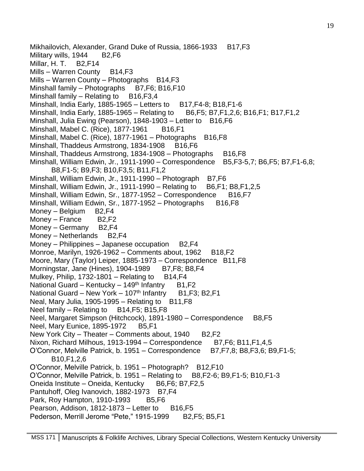Mikhailovich, Alexander, Grand Duke of Russia, 1866-1933 B17, F3 Military wills, 1944 B2, F6 Millar, H. T. B2,F14 Mills – Warren County B14,F3 Mills – Warren County – Photographs B14,F3 Minshall family – Photographs B7, F6; B16, F10 Minshall family  $-$  Relating to B16, F3, 4 Minshall, India Early, 1885-1965 – Letters to B17, F4-8; B18, F1-6 Minshall, India Early, 1885-1965 – Relating to B6,F5; B7,F1,2,6; B16,F1; B17,F1,2 Minshall, Julia Ewing (Pearson), 1848-1903 – Letter to B16, F6 Minshall, Mabel C. (Rice), 1877-1961 B16, F1 Minshall, Mabel C. (Rice), 1877-1961 – Photographs B16, F8 Minshall, Thaddeus Armstrong, 1834-1908 B16, F6 Minshall, Thaddeus Armstrong, 1834-1908 - Photographs B16, F8 Minshall, William Edwin, Jr., 1911-1990 – Correspondence B5,F3-5,7; B6,F5; B7,F1-6,8; B8,F1-5; B9,F3; B10,F3,5; B11,F1,2 Minshall, William Edwin, Jr., 1911-1990 - Photograph B7, F6 Minshall, William Edwin, Jr., 1911-1990 – Relating to  $B6$ , F1; B8, F1, 2, 5 Minshall, William Edwin, Sr., 1877-1952 – Correspondence B16, F7 Minshall, William Edwin, Sr., 1877-1952 – Photographs B16, F8 Money – Belgium B2, F4 Money – France B2,F2 Money – Germany  $B2,F4$ Money – Netherlands B2, F4 Money – Philippines – Japanese occupation  $B2, F4$ Monroe, Marilyn, 1926-1962 – Comments about, 1962 B18, F2 Moore, Mary (Taylor) Leiper, 1885-1973 – Correspondence B11,F8 Morningstar, Jane (Hines), 1904-1989 B7, F8; B8, F4 Mulkey, Philip, 1732-1801 – Relating to  $B14,F4$ National Guard – Kentucky – 149<sup>th</sup> Infantry B1, F2 National Guard – New York – 107<sup>th</sup> Infantry B1, F3; B2, F1 Neal, Mary Julia, 1905-1995 – Relating to  $B11,F8$ Neel family – Relating to B14, F5; B15, F8 Neel, Margaret Simpson (Hitchcock), 1891-1980 – Correspondence B8,F5 Neel, Mary Eunice, 1895-1972 B5, F1 New York City – Theater – Comments about,  $1940$  B2, F2 Nixon, Richard Milhous, 1913-1994 – Correspondence  $B7, F6$ ; B11, F1, 4, 5 O'Connor, Melville Patrick, b. 1951 – Correspondence B7, F7, 8; B8, F3, 6; B9, F1-5; B10,F1,2,6 O'Connor, Melville Patrick, b. 1951 – Photograph? B12,F10 O'Connor, Melville Patrick, b. 1951 – Relating to B8,F2-6; B9,F1-5; B10,F1-3 Oneida Institute – Oneida, Kentucky B6,F6; B7,F2,5 Pantuhoff, Oleg Ivanovich, 1882-1973 B7, F4 Park, Roy Hampton, 1910-1993 B5, F6 Pearson, Addison, 1812-1873 – Letter to  $B16,F5$ Pederson, Merrill Jerome "Pete," 1915-1999 B2, F5; B5, F1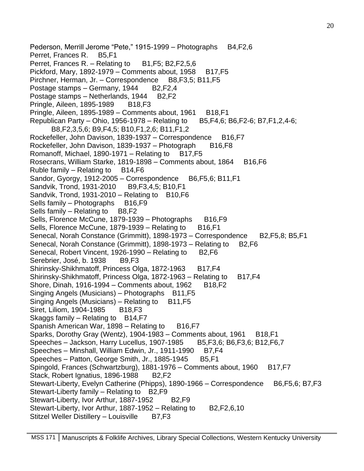Pederson, Merrill Jerome "Pete," 1915-1999 – Photographs B4,F2,6 Perret, Frances R. B5,F1 Perret, Frances R. – Relating to  $B1,F5$ ; B2, F2, 5, 6 Pickford, Mary,  $1892-1979 -$  Comments about,  $1958 - B17$ , F5 Pirchner, Herman, Jr. – Correspondence B8, F3, 5; B11, F5 Postage stamps – Germany, 1944 B2,F2,4 Postage stamps – Netherlands, 1944 B2,F2 Pringle, Aileen, 1895-1989 B18, F3 Pringle, Aileen, 1895-1989 – Comments about, 1961 B18, F1 Republican Party – Ohio, 1956-1978 – Relating to B5, F4, 6; B6, F2-6; B7, F1, 2, 4-6; B8,F2,3,5,6; B9,F4,5; B10,F1,2,6; B11,F1,2 Rockefeller, John Davison, 1839-1937 – Correspondence B16, F7 Rockefeller, John Davison, 1839-1937 – Photograph B16, F8 Romanoff, Michael, 1890-1971 – Relating to  $B17,F5$ Rosecrans, William Starke, 1819-1898 – Comments about, 1864 B16, F6 Ruble family  $-$  Relating to B14, F6 Sandor, Gyorgy, 1912-2005 – Correspondence B6, F5, 6; B11, F1 Sandvik, Trond, 1931-2010 B9,F3,4,5; B10,F1 Sandvik, Trond, 1931-2010 – Relating to  $B10,F6$ Sells family – Photographs B16,F9 Sells family  $-$  Relating to B8, F2 Sells, Florence McCune, 1879-1939 - Photographs B16,F9 Sells, Florence McCune, 1879-1939 – Relating to B16, F1 Senecal, Norah Constance (Grimmitt), 1898-1973 – Correspondence B2, F5, 8; B5, F1 Senecal, Norah Constance (Grimmitt), 1898-1973 – Relating to B2, F6 Senecal, Robert Vincent, 1926-1990 – Relating to B2,F6 Serebrier, José, b. 1938 B9, F3 Shirinsky-Shikhmatoff, Princess Olga, 1872-1963 B17, F4 Shirinsky-Shikhmatoff, Princess Olga, 1872-1963 – Relating to B17, F4 Shore, Dinah, 1916-1994 – Comments about, 1962  $B18,F2$ Singing Angels (Musicians) – Photographs B11, F5 Singing Angels (Musicians) – Relating to B11, F5 Siret, Liliom, 1904-1985 B18, F3 Skaggs family – Relating to B14, F7 Spanish American War, 1898 – Relating to B16, F7 Sparks, Dorothy Gray (Wentz), 1904-1983 – Comments about, 1961 B18, F1 Speeches – Jackson, Harry Lucellus, 1907-1985 B5, F3, 6; B6, F3, 6; B12, F6, 7 Speeches – Minshall, William Edwin, Jr., 1911-1990 B7, F4 Speeches – Patton, George Smith, Jr., 1885-1945 B5,F1 Spingold, Frances (Schwartzburg), 1881-1976 – Comments about, 1960 B17, F7 Stack, Robert Ignatius, 1896-1988 B2,F2 Stewart-Liberty, Evelyn Catherine (Phipps), 1890-1966 – Correspondence B6, F5, 6; B7, F3 Stewart-Liberty family – Relating to B2,F9 Stewart-Liberty, Ivor Arthur, 1887-1952 B2,F9 Stewart-Liberty, Ivor Arthur, 1887-1952 – Relating to  $B2, F2, 6, 10$ Stitzel Weller Distillery – Louisville B7,F3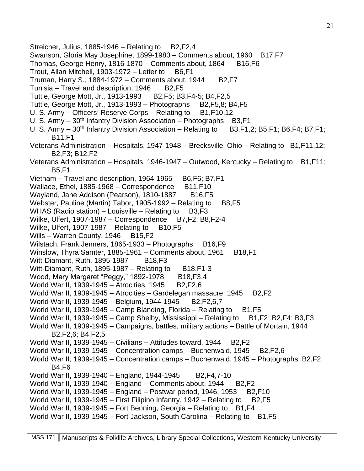Streicher, Julius, 1885-1946 – Relating to  $B2, F2, 4$ Swanson, Gloria May Josephine, 1899-1983 – Comments about, 1960 B17, F7 Thomas, George Henry,  $1816-1870 -$  Comments about,  $1864$  B16, F6 Trout, Allan Mitchell, 1903-1972 – Letter to B6,F1 Truman, Harry S., 1884-1972 – Comments about, 1944  $B2,F7$ Tunisia – Travel and description,  $1946$  B2, F5 Tuttle, George Mott, Jr., 1913-1993 B2,F5; B3,F4-5; B4,F2,5 Tuttle, George Mott, Jr., 1913-1993 – Photographs B2,F5,8; B4,F5 U. S. Army – Officers' Reserve Corps – Relating to B1, F10, 12 U. S. Army  $-30<sup>th</sup>$  Infantry Division Association – Photographs B3, F1 U. S. Army  $-30<sup>th</sup>$  Infantry Division Association – Relating to B3, F1, 2; B5, F1; B6, F4; B7, F1; B11,F1 Veterans Administration – Hospitals, 1947-1948 – Brecksville, Ohio – Relating to B1,F11,12; B2,F3; B12,F2 Veterans Administration – Hospitals, 1946-1947 – Outwood, Kentucky – Relating to B1, F11; B5,F1 Vietnam – Travel and description, 1964-1965 B6, F6; B7, F1 Wallace, Ethel, 1885-1968 – Correspondence B11, F10 Wayland, Jane Addison (Pearson), 1810-1887 B16, F5 Webster, Pauline (Martin) Tabor, 1905-1992 – Relating to B8, F5 WHAS (Radio station) – Louisville – Relating to  $B3,F3$ Wilke, Ulfert, 1907-1987 – Correspondence B7, F2; B8, F2-4 Wilke, Ulfert, 1907-1987 – Relating to  $B10,F5$ Wills – Warren County, 1946 B15, F2 Wilstach, Frank Jenners, 1865-1933 – Photographs B16, F9 Winslow, Thyra Samter, 1885-1961 – Comments about, 1961 B18, F1 Witt-Diamant, Ruth, 1895-1987 B18, F3 Witt-Diamant, Ruth, 1895-1987 – Relating to  $B18,F1-3$ Wood, Mary Margaret "Peggy," 1892-1978 B18,F3,4 World War II, 1939-1945 – Atrocities, 1945 B2, F2, 6 World War II, 1939-1945 – Atrocities – Gardelegan massacre, 1945 B2, F2 World War II, 1939-1945 – Belgium, 1944-1945 B2, F2, 6, 7 World War II, 1939-1945 – Camp Blanding, Florida – Relating to  $B1,F5$ World War II, 1939-1945 – Camp Shelby, Mississippi – Relating to B1, F2; B2, F4; B3, F3 World War II, 1939-1945 – Campaigns, battles, military actions – Battle of Mortain, 1944 B2,F2,6; B4,F2,5 World War II, 1939-1945 – Civilians – Attitudes toward, 1944 B2, F2 World War II, 1939-1945 – Concentration camps – Buchenwald, 1945 B2, F2, 6 World War II, 1939-1945 – Concentration camps – Buchenwald, 1945 – Photographs B2,F2; B4,F6 World War II, 1939-1940 – England, 1944-1945 B2, F4, 7-10 World War II, 1939-1940 – England – Comments about, 1944 B2, F2 World War II, 1939-1945 – England – Postwar period, 1946, 1953 B2,F10 World War II, 1939-1945 – First Filipino Infantry, 1942 – Relating to B2,F5 World War II, 1939-1945 – Fort Benning, Georgia – Relating to B1, F4 World War II, 1939-1945 – Fort Jackson, South Carolina – Relating to B1, F5